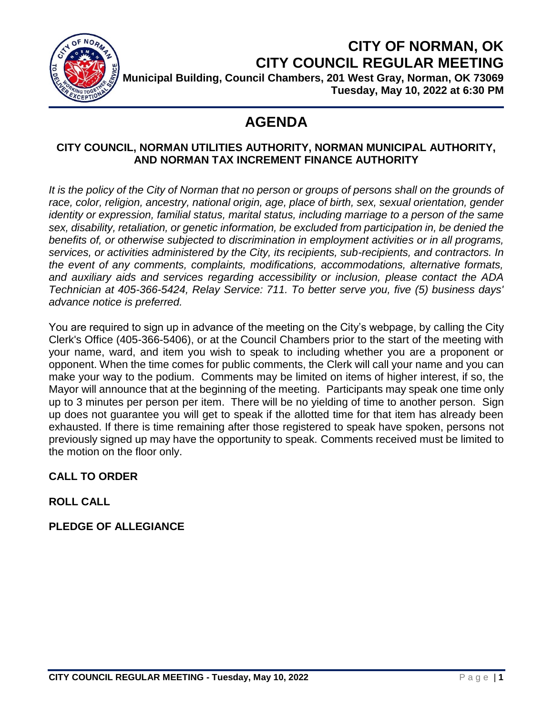

# **CITY OF NORMAN, OK CITY COUNCIL REGULAR MEETING**

**Municipal Building, Council Chambers, 201 West Gray, Norman, OK 73069 Tuesday, May 10, 2022 at 6:30 PM**

## **AGENDA**

### **CITY COUNCIL, NORMAN UTILITIES AUTHORITY, NORMAN MUNICIPAL AUTHORITY, AND NORMAN TAX INCREMENT FINANCE AUTHORITY**

It is the policy of the City of Norman that no person or groups of persons shall on the grounds of race, color, religion, ancestry, national origin, age, place of birth, sex, sexual orientation, gender *identity or expression, familial status, marital status, including marriage to a person of the same sex, disability, retaliation, or genetic information, be excluded from participation in, be denied the benefits of, or otherwise subjected to discrimination in employment activities or in all programs, services, or activities administered by the City, its recipients, sub-recipients, and contractors. In the event of any comments, complaints, modifications, accommodations, alternative formats, and auxiliary aids and services regarding accessibility or inclusion, please contact the ADA Technician at 405-366-5424, Relay Service: 711. To better serve you, five (5) business days' advance notice is preferred.*

You are required to sign up in advance of the meeting on the City's webpage, by calling the City Clerk's Office (405-366-5406), or at the Council Chambers prior to the start of the meeting with your name, ward, and item you wish to speak to including whether you are a proponent or opponent. When the time comes for public comments, the Clerk will call your name and you can make your way to the podium. Comments may be limited on items of higher interest, if so, the Mayor will announce that at the beginning of the meeting. Participants may speak one time only up to 3 minutes per person per item. There will be no yielding of time to another person. Sign up does not guarantee you will get to speak if the allotted time for that item has already been exhausted. If there is time remaining after those registered to speak have spoken, persons not previously signed up may have the opportunity to speak. Comments received must be limited to the motion on the floor only.

### **CALL TO ORDER**

### **ROLL CALL**

### **PLEDGE OF ALLEGIANCE**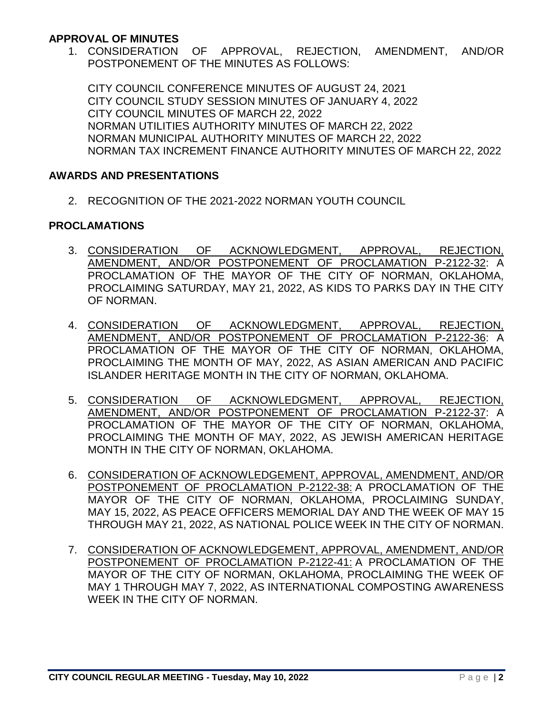#### **APPROVAL OF MINUTES**

1. CONSIDERATION OF APPROVAL, REJECTION, AMENDMENT, AND/OR POSTPONEMENT OF THE MINUTES AS FOLLOWS:

CITY COUNCIL CONFERENCE MINUTES OF AUGUST 24, 2021 CITY COUNCIL STUDY SESSION MINUTES OF JANUARY 4, 2022 CITY COUNCIL MINUTES OF MARCH 22, 2022 NORMAN UTILITIES AUTHORITY MINUTES OF MARCH 22, 2022 NORMAN MUNICIPAL AUTHORITY MINUTES OF MARCH 22, 2022 NORMAN TAX INCREMENT FINANCE AUTHORITY MINUTES OF MARCH 22, 2022

#### **AWARDS AND PRESENTATIONS**

2. RECOGNITION OF THE 2021-2022 NORMAN YOUTH COUNCIL

#### **PROCLAMATIONS**

- 3. CONSIDERATION OF ACKNOWLEDGMENT, APPROVAL, REJECTION, AMENDMENT, AND/OR POSTPONEMENT OF PROCLAMATION P-2122-32: A PROCLAMATION OF THE MAYOR OF THE CITY OF NORMAN, OKLAHOMA, PROCLAIMING SATURDAY, MAY 21, 2022, AS KIDS TO PARKS DAY IN THE CITY OF NORMAN.
- 4. CONSIDERATION OF ACKNOWLEDGMENT, APPROVAL, REJECTION, AMENDMENT, AND/OR POSTPONEMENT OF PROCLAMATION P-2122-36: A PROCLAMATION OF THE MAYOR OF THE CITY OF NORMAN, OKLAHOMA, PROCLAIMING THE MONTH OF MAY, 2022, AS ASIAN AMERICAN AND PACIFIC ISLANDER HERITAGE MONTH IN THE CITY OF NORMAN, OKLAHOMA.
- 5. CONSIDERATION OF ACKNOWLEDGMENT, APPROVAL, REJECTION, AMENDMENT, AND/OR POSTPONEMENT OF PROCLAMATION P-2122-37: A PROCLAMATION OF THE MAYOR OF THE CITY OF NORMAN, OKLAHOMA, PROCLAIMING THE MONTH OF MAY, 2022, AS JEWISH AMERICAN HERITAGE MONTH IN THE CITY OF NORMAN, OKLAHOMA.
- 6. CONSIDERATION OF ACKNOWLEDGEMENT, APPROVAL, AMENDMENT, AND/OR POSTPONEMENT OF PROCLAMATION P-2122-38: A PROCLAMATION OF THE MAYOR OF THE CITY OF NORMAN, OKLAHOMA, PROCLAIMING SUNDAY, MAY 15, 2022, AS PEACE OFFICERS MEMORIAL DAY AND THE WEEK OF MAY 15 THROUGH MAY 21, 2022, AS NATIONAL POLICE WEEK IN THE CITY OF NORMAN.
- 7. CONSIDERATION OF ACKNOWLEDGEMENT, APPROVAL, AMENDMENT, AND/OR POSTPONEMENT OF PROCLAMATION P-2122-41: A PROCLAMATION OF THE MAYOR OF THE CITY OF NORMAN, OKLAHOMA, PROCLAIMING THE WEEK OF MAY 1 THROUGH MAY 7, 2022, AS INTERNATIONAL COMPOSTING AWARENESS WEEK IN THE CITY OF NORMAN.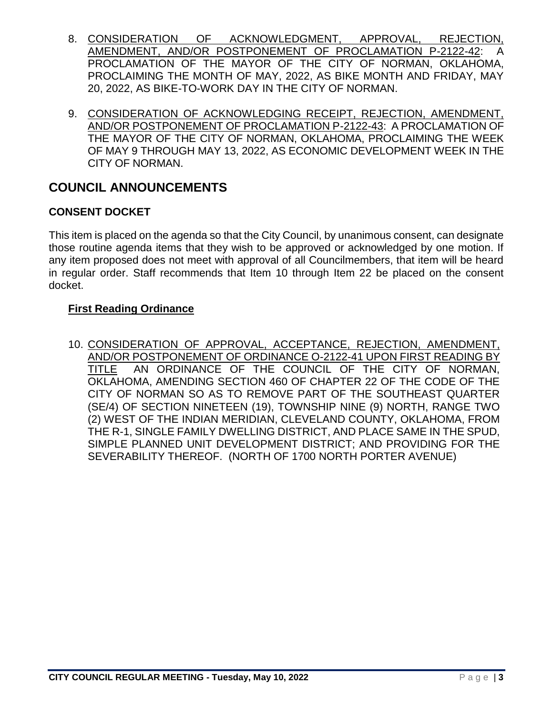- 8. CONSIDERATION OF ACKNOWLEDGMENT, APPROVAL, REJECTION, AMENDMENT, AND/OR POSTPONEMENT OF PROCLAMATION P-2122-42: A PROCLAMATION OF THE MAYOR OF THE CITY OF NORMAN, OKLAHOMA, PROCLAIMING THE MONTH OF MAY, 2022, AS BIKE MONTH AND FRIDAY, MAY 20, 2022, AS BIKE-TO-WORK DAY IN THE CITY OF NORMAN.
- 9. CONSIDERATION OF ACKNOWLEDGING RECEIPT, REJECTION, AMENDMENT, AND/OR POSTPONEMENT OF PROCLAMATION P-2122-43: A PROCLAMATION OF THE MAYOR OF THE CITY OF NORMAN, OKLAHOMA, PROCLAIMING THE WEEK OF MAY 9 THROUGH MAY 13, 2022, AS ECONOMIC DEVELOPMENT WEEK IN THE CITY OF NORMAN.

### **COUNCIL ANNOUNCEMENTS**

### **CONSENT DOCKET**

This item is placed on the agenda so that the City Council, by unanimous consent, can designate those routine agenda items that they wish to be approved or acknowledged by one motion. If any item proposed does not meet with approval of all Councilmembers, that item will be heard in regular order. Staff recommends that Item 10 through Item 22 be placed on the consent docket.

### **First Reading Ordinance**

10. CONSIDERATION OF APPROVAL, ACCEPTANCE, REJECTION, AMENDMENT, AND/OR POSTPONEMENT OF ORDINANCE O-2122-41 UPON FIRST READING BY TITLE AN ORDINANCE OF THE COUNCIL OF THE CITY OF NORMAN, OKLAHOMA, AMENDING SECTION 460 OF CHAPTER 22 OF THE CODE OF THE CITY OF NORMAN SO AS TO REMOVE PART OF THE SOUTHEAST QUARTER (SE/4) OF SECTION NINETEEN (19), TOWNSHIP NINE (9) NORTH, RANGE TWO (2) WEST OF THE INDIAN MERIDIAN, CLEVELAND COUNTY, OKLAHOMA, FROM THE R-1, SINGLE FAMILY DWELLING DISTRICT, AND PLACE SAME IN THE SPUD, SIMPLE PLANNED UNIT DEVELOPMENT DISTRICT; AND PROVIDING FOR THE SEVERABILITY THEREOF. (NORTH OF 1700 NORTH PORTER AVENUE)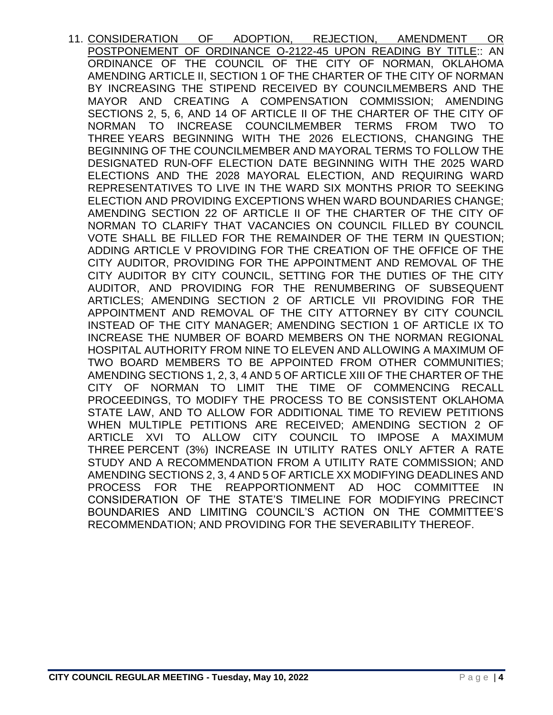11. CONSIDERATION OF ADOPTION, REJECTION, AMENDMENT OR POSTPONEMENT OF ORDINANCE O-2122-45 UPON READING BY TITLE:: AN ORDINANCE OF THE COUNCIL OF THE CITY OF NORMAN, OKLAHOMA AMENDING ARTICLE II, SECTION 1 OF THE CHARTER OF THE CITY OF NORMAN BY INCREASING THE STIPEND RECEIVED BY COUNCILMEMBERS AND THE MAYOR AND CREATING A COMPENSATION COMMISSION; AMENDING SECTIONS 2, 5, 6, AND 14 OF ARTICLE II OF THE CHARTER OF THE CITY OF NORMAN TO INCREASE COUNCILMEMBER TERMS FROM TWO TO THREE YEARS BEGINNING WITH THE 2026 ELECTIONS, CHANGING THE BEGINNING OF THE COUNCILMEMBER AND MAYORAL TERMS TO FOLLOW THE DESIGNATED RUN-OFF ELECTION DATE BEGINNING WITH THE 2025 WARD ELECTIONS AND THE 2028 MAYORAL ELECTION, AND REQUIRING WARD REPRESENTATIVES TO LIVE IN THE WARD SIX MONTHS PRIOR TO SEEKING ELECTION AND PROVIDING EXCEPTIONS WHEN WARD BOUNDARIES CHANGE; AMENDING SECTION 22 OF ARTICLE II OF THE CHARTER OF THE CITY OF NORMAN TO CLARIFY THAT VACANCIES ON COUNCIL FILLED BY COUNCIL VOTE SHALL BE FILLED FOR THE REMAINDER OF THE TERM IN QUESTION; ADDING ARTICLE V PROVIDING FOR THE CREATION OF THE OFFICE OF THE CITY AUDITOR, PROVIDING FOR THE APPOINTMENT AND REMOVAL OF THE CITY AUDITOR BY CITY COUNCIL, SETTING FOR THE DUTIES OF THE CITY AUDITOR, AND PROVIDING FOR THE RENUMBERING OF SUBSEQUENT ARTICLES; AMENDING SECTION 2 OF ARTICLE VII PROVIDING FOR THE APPOINTMENT AND REMOVAL OF THE CITY ATTORNEY BY CITY COUNCIL INSTEAD OF THE CITY MANAGER; AMENDING SECTION 1 OF ARTICLE IX TO INCREASE THE NUMBER OF BOARD MEMBERS ON THE NORMAN REGIONAL HOSPITAL AUTHORITY FROM NINE TO ELEVEN AND ALLOWING A MAXIMUM OF TWO BOARD MEMBERS TO BE APPOINTED FROM OTHER COMMUNITIES; AMENDING SECTIONS 1, 2, 3, 4 AND 5 OF ARTICLE XIII OF THE CHARTER OF THE CITY OF NORMAN TO LIMIT THE TIME OF COMMENCING RECALL PROCEEDINGS, TO MODIFY THE PROCESS TO BE CONSISTENT OKLAHOMA STATE LAW, AND TO ALLOW FOR ADDITIONAL TIME TO REVIEW PETITIONS WHEN MULTIPLE PETITIONS ARE RECEIVED; AMENDING SECTION 2 OF ARTICLE XVI TO ALLOW CITY COUNCIL TO IMPOSE A MAXIMUM THREE PERCENT (3%) INCREASE IN UTILITY RATES ONLY AFTER A RATE STUDY AND A RECOMMENDATION FROM A UTILITY RATE COMMISSION; AND AMENDING SECTIONS 2, 3, 4 AND 5 OF ARTICLE XX MODIFYING DEADLINES AND PROCESS FOR THE REAPPORTIONMENT AD HOC COMMITTEE IN CONSIDERATION OF THE STATE'S TIMELINE FOR MODIFYING PRECINCT BOUNDARIES AND LIMITING COUNCIL'S ACTION ON THE COMMITTEE'S RECOMMENDATION; AND PROVIDING FOR THE SEVERABILITY THEREOF.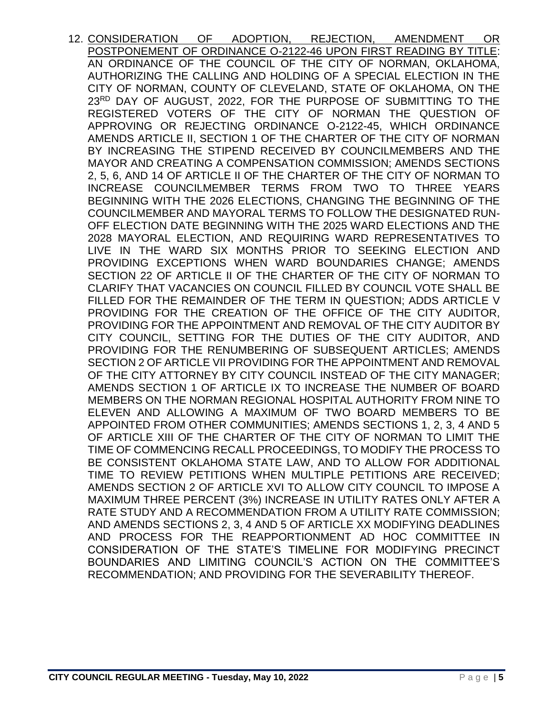12. CONSIDERATION OF ADOPTION, REJECTION, AMENDMENT OR POSTPONEMENT OF ORDINANCE O-2122-46 UPON FIRST READING BY TITLE: AN ORDINANCE OF THE COUNCIL OF THE CITY OF NORMAN, OKLAHOMA, AUTHORIZING THE CALLING AND HOLDING OF A SPECIAL ELECTION IN THE CITY OF NORMAN, COUNTY OF CLEVELAND, STATE OF OKLAHOMA, ON THE 23RD DAY OF AUGUST, 2022, FOR THE PURPOSE OF SUBMITTING TO THE REGISTERED VOTERS OF THE CITY OF NORMAN THE QUESTION OF APPROVING OR REJECTING ORDINANCE O-2122-45, WHICH ORDINANCE AMENDS ARTICLE II, SECTION 1 OF THE CHARTER OF THE CITY OF NORMAN BY INCREASING THE STIPEND RECEIVED BY COUNCILMEMBERS AND THE MAYOR AND CREATING A COMPENSATION COMMISSION; AMENDS SECTIONS 2, 5, 6, AND 14 OF ARTICLE II OF THE CHARTER OF THE CITY OF NORMAN TO INCREASE COUNCILMEMBER TERMS FROM TWO TO THREE YEARS BEGINNING WITH THE 2026 ELECTIONS, CHANGING THE BEGINNING OF THE COUNCILMEMBER AND MAYORAL TERMS TO FOLLOW THE DESIGNATED RUN-OFF ELECTION DATE BEGINNING WITH THE 2025 WARD ELECTIONS AND THE 2028 MAYORAL ELECTION, AND REQUIRING WARD REPRESENTATIVES TO LIVE IN THE WARD SIX MONTHS PRIOR TO SEEKING ELECTION AND PROVIDING EXCEPTIONS WHEN WARD BOUNDARIES CHANGE; AMENDS SECTION 22 OF ARTICLE II OF THE CHARTER OF THE CITY OF NORMAN TO CLARIFY THAT VACANCIES ON COUNCIL FILLED BY COUNCIL VOTE SHALL BE FILLED FOR THE REMAINDER OF THE TERM IN QUESTION; ADDS ARTICLE V PROVIDING FOR THE CREATION OF THE OFFICE OF THE CITY AUDITOR, PROVIDING FOR THE APPOINTMENT AND REMOVAL OF THE CITY AUDITOR BY CITY COUNCIL, SETTING FOR THE DUTIES OF THE CITY AUDITOR, AND PROVIDING FOR THE RENUMBERING OF SUBSEQUENT ARTICLES; AMENDS SECTION 2 OF ARTICLE VII PROVIDING FOR THE APPOINTMENT AND REMOVAL OF THE CITY ATTORNEY BY CITY COUNCIL INSTEAD OF THE CITY MANAGER; AMENDS SECTION 1 OF ARTICLE IX TO INCREASE THE NUMBER OF BOARD MEMBERS ON THE NORMAN REGIONAL HOSPITAL AUTHORITY FROM NINE TO ELEVEN AND ALLOWING A MAXIMUM OF TWO BOARD MEMBERS TO BE APPOINTED FROM OTHER COMMUNITIES; AMENDS SECTIONS 1, 2, 3, 4 AND 5 OF ARTICLE XIII OF THE CHARTER OF THE CITY OF NORMAN TO LIMIT THE TIME OF COMMENCING RECALL PROCEEDINGS, TO MODIFY THE PROCESS TO BE CONSISTENT OKLAHOMA STATE LAW, AND TO ALLOW FOR ADDITIONAL TIME TO REVIEW PETITIONS WHEN MULTIPLE PETITIONS ARE RECEIVED; AMENDS SECTION 2 OF ARTICLE XVI TO ALLOW CITY COUNCIL TO IMPOSE A MAXIMUM THREE PERCENT (3%) INCREASE IN UTILITY RATES ONLY AFTER A RATE STUDY AND A RECOMMENDATION FROM A UTILITY RATE COMMISSION; AND AMENDS SECTIONS 2, 3, 4 AND 5 OF ARTICLE XX MODIFYING DEADLINES AND PROCESS FOR THE REAPPORTIONMENT AD HOC COMMITTEE IN CONSIDERATION OF THE STATE'S TIMELINE FOR MODIFYING PRECINCT BOUNDARIES AND LIMITING COUNCIL'S ACTION ON THE COMMITTEE'S RECOMMENDATION; AND PROVIDING FOR THE SEVERABILITY THEREOF.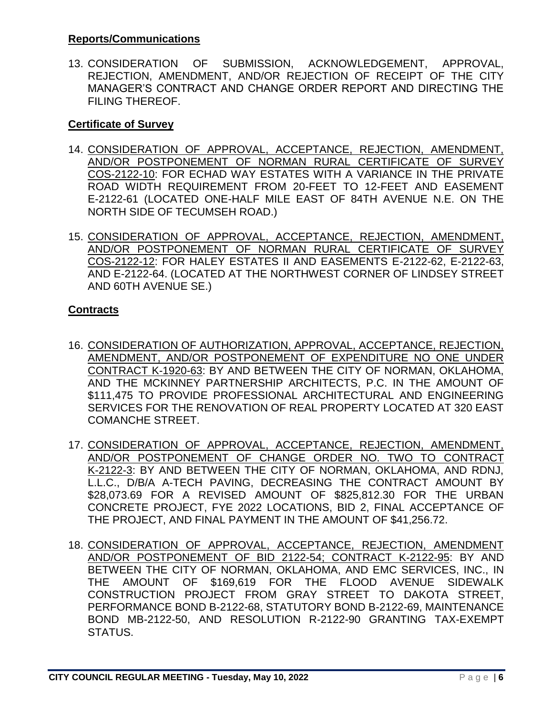#### **Reports/Communications**

13. CONSIDERATION OF SUBMISSION, ACKNOWLEDGEMENT, APPROVAL, REJECTION, AMENDMENT, AND/OR REJECTION OF RECEIPT OF THE CITY MANAGER'S CONTRACT AND CHANGE ORDER REPORT AND DIRECTING THE FILING THEREOF.

#### **Certificate of Survey**

- 14. CONSIDERATION OF APPROVAL, ACCEPTANCE, REJECTION, AMENDMENT, AND/OR POSTPONEMENT OF NORMAN RURAL CERTIFICATE OF SURVEY COS-2122-10: FOR ECHAD WAY ESTATES WITH A VARIANCE IN THE PRIVATE ROAD WIDTH REQUIREMENT FROM 20-FEET TO 12-FEET AND EASEMENT E-2122-61 (LOCATED ONE-HALF MILE EAST OF 84TH AVENUE N.E. ON THE NORTH SIDE OF TECUMSEH ROAD.)
- 15. CONSIDERATION OF APPROVAL, ACCEPTANCE, REJECTION, AMENDMENT, AND/OR POSTPONEMENT OF NORMAN RURAL CERTIFICATE OF SURVEY COS-2122-12: FOR HALEY ESTATES II AND EASEMENTS E-2122-62, E-2122-63, AND E-2122-64. (LOCATED AT THE NORTHWEST CORNER OF LINDSEY STREET AND 60TH AVENUE SE.)

### **Contracts**

- 16. CONSIDERATION OF AUTHORIZATION, APPROVAL, ACCEPTANCE, REJECTION, AMENDMENT, AND/OR POSTPONEMENT OF EXPENDITURE NO ONE UNDER CONTRACT K-1920-63: BY AND BETWEEN THE CITY OF NORMAN, OKLAHOMA, AND THE MCKINNEY PARTNERSHIP ARCHITECTS, P.C. IN THE AMOUNT OF \$111,475 TO PROVIDE PROFESSIONAL ARCHITECTURAL AND ENGINEERING SERVICES FOR THE RENOVATION OF REAL PROPERTY LOCATED AT 320 EAST COMANCHE STREET.
- 17. CONSIDERATION OF APPROVAL, ACCEPTANCE, REJECTION, AMENDMENT, AND/OR POSTPONEMENT OF CHANGE ORDER NO. TWO TO CONTRACT K-2122-3: BY AND BETWEEN THE CITY OF NORMAN, OKLAHOMA, AND RDNJ, L.L.C., D/B/A A-TECH PAVING, DECREASING THE CONTRACT AMOUNT BY \$28,073.69 FOR A REVISED AMOUNT OF \$825,812.30 FOR THE URBAN CONCRETE PROJECT, FYE 2022 LOCATIONS, BID 2, FINAL ACCEPTANCE OF THE PROJECT, AND FINAL PAYMENT IN THE AMOUNT OF \$41,256.72.
- 18. CONSIDERATION OF APPROVAL, ACCEPTANCE, REJECTION, AMENDMENT AND/OR POSTPONEMENT OF BID 2122-54; CONTRACT K-2122-95: BY AND BETWEEN THE CITY OF NORMAN, OKLAHOMA, AND EMC SERVICES, INC., IN THE AMOUNT OF \$169,619 FOR THE FLOOD AVENUE SIDEWALK CONSTRUCTION PROJECT FROM GRAY STREET TO DAKOTA STREET, PERFORMANCE BOND B-2122-68, STATUTORY BOND B-2122-69, MAINTENANCE BOND MB-2122-50, AND RESOLUTION R-2122-90 GRANTING TAX-EXEMPT STATUS.